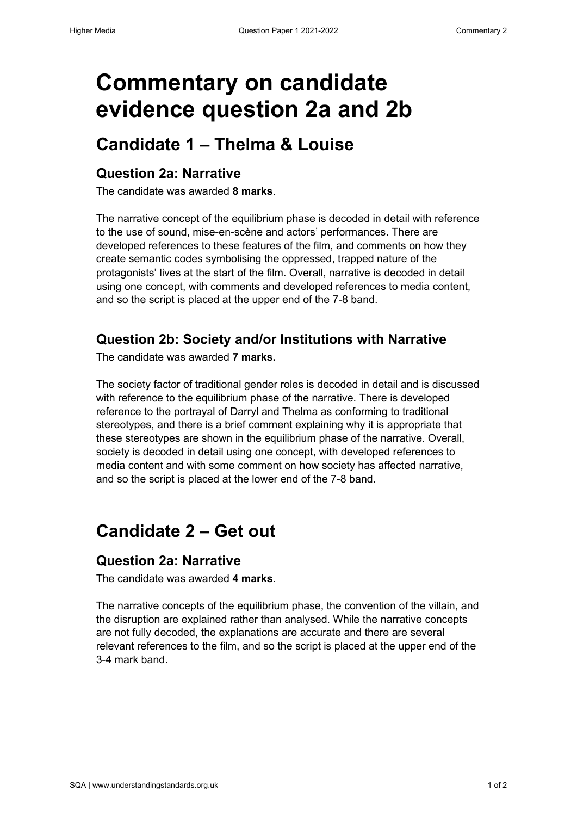# **Commentary on candidate evidence question 2a and 2b**

## **Candidate 1 – Thelma & Louise**

#### **Question 2a: Narrative**

The candidate was awarded **8 marks**.

The narrative concept of the equilibrium phase is decoded in detail with reference to the use of sound, mise-en-scène and actors' performances. There are developed references to these features of the film, and comments on how they create semantic codes symbolising the oppressed, trapped nature of the protagonists' lives at the start of the film. Overall, narrative is decoded in detail using one concept, with comments and developed references to media content, and so the script is placed at the upper end of the 7-8 band.

#### **Question 2b: Society and/or Institutions with Narrative**

The candidate was awarded **7 marks.** 

The society factor of traditional gender roles is decoded in detail and is discussed with reference to the equilibrium phase of the narrative. There is developed reference to the portrayal of Darryl and Thelma as conforming to traditional stereotypes, and there is a brief comment explaining why it is appropriate that these stereotypes are shown in the equilibrium phase of the narrative. Overall, society is decoded in detail using one concept, with developed references to media content and with some comment on how society has affected narrative, and so the script is placed at the lower end of the 7-8 band.

## **Candidate 2 – Get out**

#### **Question 2a: Narrative**

The candidate was awarded **4 marks**.

The narrative concepts of the equilibrium phase, the convention of the villain, and the disruption are explained rather than analysed. While the narrative concepts are not fully decoded, the explanations are accurate and there are several relevant references to the film, and so the script is placed at the upper end of the 3-4 mark band.